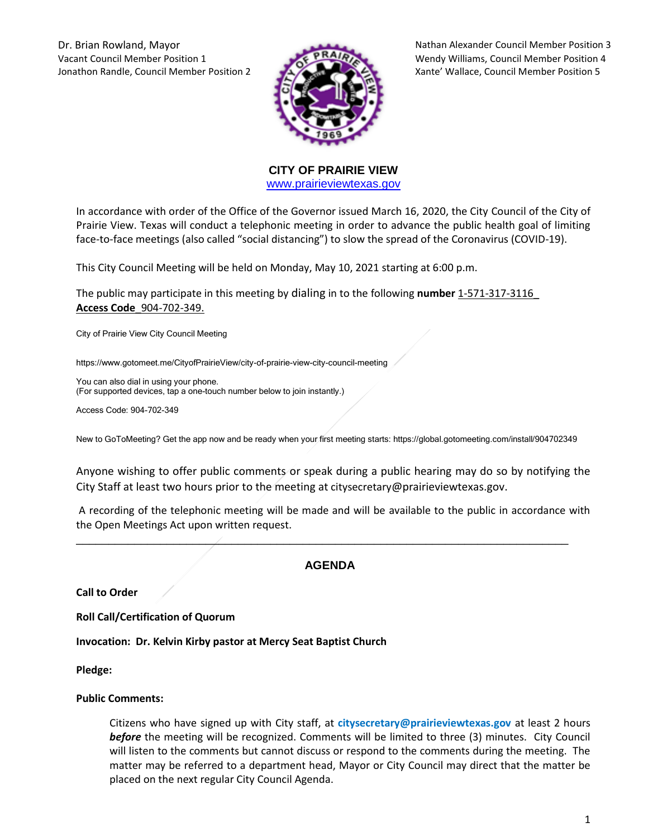Vacant Council Member Position 1 Wendy Williams, Council Member Position 4 Jonathon Randle, Council Member Position 2 Xante' Wallace, Council Member Position 5



Dr. Brian Rowland, Mayor Nathan Alexander Council Member Position 3

**CITY OF PRAIRIE VIEW**  [www.prairieviewtexas.gov](http://www.prairieviewtexas.gov/)

In accordance with order of the Office of the Governor issued March 16, 2020, the City Council of the City of Prairie View. Texas will conduct a telephonic meeting in order to advance the public health goal of limiting face-to-face meetings (also called "social distancing") to slow the spread of the Coronavirus (COVID-19).

This City Council Meeting will be held on Monday, May 10, 2021 starting at 6:00 p.m.

The public may participate in this meeting by dialing in to the following **number** 1-571-317-3116\_ **Access Code**\_904-702-349.

City of Prairie View City Council Meeting

https://www.gotomeet.me/CityofPrairieView/city-of-prairie-view-city-council-meeting

You can also dial in using your phone. (For supported devices, tap a one-touch number below to join instantly.)

Access Code: 904-702-349

New to GoToMeeting? Get the app now and be ready when your first meeting starts: https://global.gotomeeting.com/install/904702349

Anyone wishing to offer public comments or speak during a public hearing may do so by notifying the City Staff at least two hours prior to the meeting at citysecretary@prairieviewtexas.gov.

A recording of the telephonic meeting will be made and will be available to the public in accordance with the Open Meetings Act upon written request.

# **AGENDA**

\_\_\_\_\_\_\_\_\_\_\_\_\_\_\_\_\_\_\_\_\_\_\_\_\_\_\_\_\_\_\_\_\_\_\_\_\_\_\_\_\_\_\_\_\_\_\_\_\_\_\_\_\_\_\_\_\_\_\_\_\_\_\_\_\_\_\_\_\_\_\_\_\_\_\_\_

**Call to Order**

**Roll Call/Certification of Quorum**

**Invocation: Dr. Kelvin Kirby pastor at Mercy Seat Baptist Church**

**Pledge:** 

## **Public Comments:**

Citizens who have signed up with City staff, at **citysecretary@prairieviewtexas.gov** at least 2 hours *before* the meeting will be recognized. Comments will be limited to three (3) minutes. City Council will listen to the comments but cannot discuss or respond to the comments during the meeting. The matter may be referred to a department head, Mayor or City Council may direct that the matter be placed on the next regular City Council Agenda.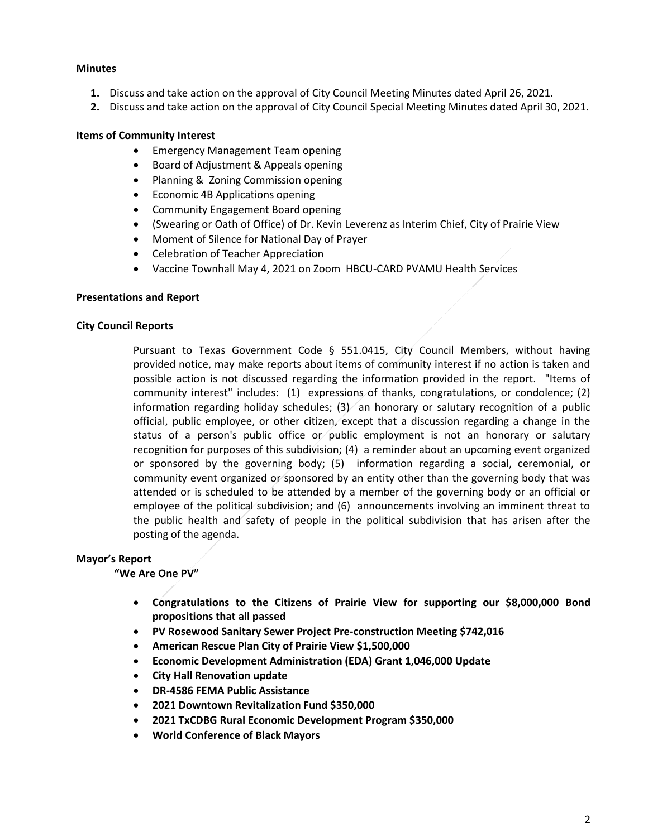## **Minutes**

- **1.** Discuss and take action on the approval of City Council Meeting Minutes dated April 26, 2021.
- **2.** Discuss and take action on the approval of City Council Special Meeting Minutes dated April 30, 2021.

# **Items of Community Interest**

- **•** Emergency Management Team opening
- Board of Adjustment & Appeals opening
- Planning & Zoning Commission opening
- Economic 4B Applications opening
- Community Engagement Board opening
- (Swearing or Oath of Office) of Dr. Kevin Leverenz as Interim Chief, City of Prairie View
- Moment of Silence for National Day of Prayer
- Celebration of Teacher Appreciation
- Vaccine Townhall May 4, 2021 on Zoom HBCU-CARD PVAMU Health Services

## **Presentations and Report**

## **City Council Reports**

Pursuant to Texas Government Code § 551.0415, City Council Members, without having provided notice, may make reports about items of community interest if no action is taken and possible action is not discussed regarding the information provided in the report. "Items of community interest" includes: (1) expressions of thanks, congratulations, or condolence; (2) information regarding holiday schedules;  $(3)$  an honorary or salutary recognition of a public official, public employee, or other citizen, except that a discussion regarding a change in the status of a person's public office or public employment is not an honorary or salutary recognition for purposes of this subdivision; (4) a reminder about an upcoming event organized or sponsored by the governing body; (5) information regarding a social, ceremonial, or community event organized or sponsored by an entity other than the governing body that was attended or is scheduled to be attended by a member of the governing body or an official or employee of the political subdivision; and (6) announcements involving an imminent threat to the public health and safety of people in the political subdivision that has arisen after the posting of the agenda.

## **Mayor's Report**

## **"We Are One PV"**

- **Congratulations to the Citizens of Prairie View for supporting our \$8,000,000 Bond propositions that all passed**
- **PV Rosewood Sanitary Sewer Project Pre-construction Meeting \$742,016**
- **American Rescue Plan City of Prairie View \$1,500,000**
- **Economic Development Administration (EDA) Grant 1,046,000 Update**
- **City Hall Renovation update**
- **DR-4586 FEMA Public Assistance**
- **2021 Downtown Revitalization Fund \$350,000**
- **2021 TxCDBG Rural Economic Development Program \$350,000**
- **World Conference of Black Mayors**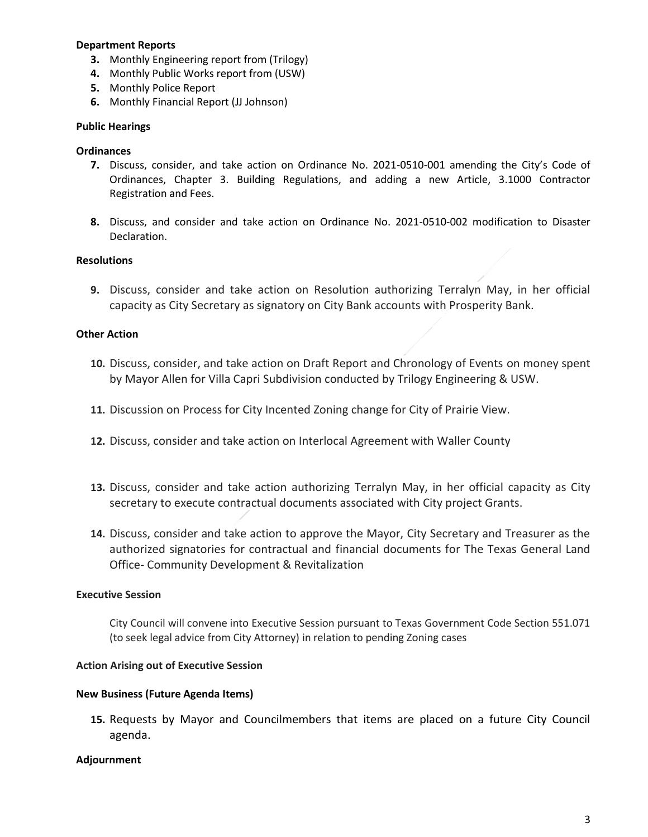## **Department Reports**

- **3.** Monthly Engineering report from (Trilogy)
- **4.** Monthly Public Works report from (USW)
- **5.** Monthly Police Report
- **6.** Monthly Financial Report (JJ Johnson)

## **Public Hearings**

## **Ordinances**

- **7.** Discuss, consider, and take action on Ordinance No. 2021-0510-001 amending the City's Code of Ordinances, Chapter 3. Building Regulations, and adding a new Article, 3.1000 Contractor Registration and Fees.
- **8.** Discuss, and consider and take action on Ordinance No. 2021-0510-002 modification to Disaster Declaration.

# **Resolutions**

**9.** Discuss, consider and take action on Resolution authorizing Terralyn May, in her official capacity as City Secretary as signatory on City Bank accounts with Prosperity Bank.

## **Other Action**

- **10.** Discuss, consider, and take action on Draft Report and Chronology of Events on money spent by Mayor Allen for Villa Capri Subdivision conducted by Trilogy Engineering & USW.
- **11.** Discussion on Process for City Incented Zoning change for City of Prairie View.
- **12.** Discuss, consider and take action on Interlocal Agreement with Waller County
- **13.** Discuss, consider and take action authorizing Terralyn May, in her official capacity as City secretary to execute contractual documents associated with City project Grants.
- **14.** Discuss, consider and take action to approve the Mayor, City Secretary and Treasurer as the authorized signatories for contractual and financial documents for The Texas General Land Office- Community Development & Revitalization

## **Executive Session**

City Council will convene into Executive Session pursuant to Texas Government Code Section 551.071 (to seek legal advice from City Attorney) in relation to pending Zoning cases

## **Action Arising out of Executive Session**

## **New Business (Future Agenda Items)**

**15.** Requests by Mayor and Councilmembers that items are placed on a future City Council agenda.

## **Adjournment**